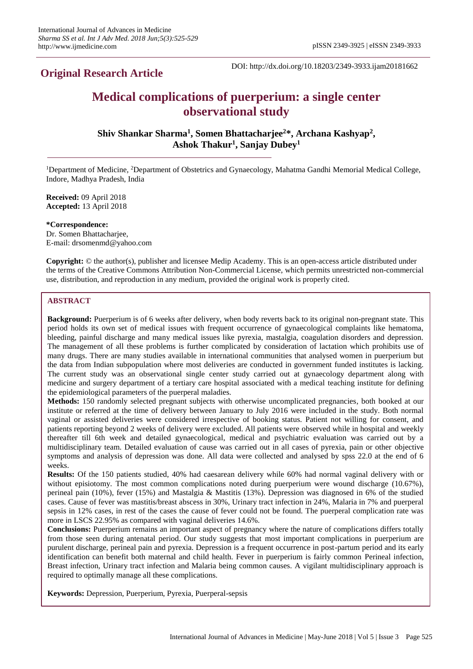**Original Research Article**

DOI: http://dx.doi.org/10.18203/2349-3933.ijam20181662

# **Medical complications of puerperium: a single center observational study**

**Shiv Shankar Sharma<sup>1</sup> , Somen Bhattacharjee<sup>2</sup>\*, Archana Kashyap<sup>2</sup> , Ashok Thakur<sup>1</sup> , Sanjay Dubey<sup>1</sup>**

<sup>1</sup>Department of Medicine, <sup>2</sup>Department of Obstetrics and Gynaecology, Mahatma Gandhi Memorial Medical College, Indore, Madhya Pradesh, India

**Received:** 09 April 2018 **Accepted:** 13 April 2018

**\*Correspondence:** Dr. Somen Bhattacharjee, E-mail: drsomenmd@yahoo.com

**Copyright:** © the author(s), publisher and licensee Medip Academy. This is an open-access article distributed under the terms of the Creative Commons Attribution Non-Commercial License, which permits unrestricted non-commercial use, distribution, and reproduction in any medium, provided the original work is properly cited.

# **ABSTRACT**

**Background:** Puerperium is of 6 weeks after delivery, when body reverts back to its original non-pregnant state. This period holds its own set of medical issues with frequent occurrence of gynaecological complaints like hematoma, bleeding, painful discharge and many medical issues like pyrexia, mastalgia, coagulation disorders and depression. The management of all these problems is further complicated by consideration of lactation which prohibits use of many drugs. There are many studies available in international communities that analysed women in puerperium but the data from Indian subpopulation where most deliveries are conducted in government funded institutes is lacking. The current study was an observational single center study carried out at gynaecology department along with medicine and surgery department of a tertiary care hospital associated with a medical teaching institute for defining the epidemiological parameters of the puerperal maladies.

**Methods:** 150 randomly selected pregnant subjects with otherwise uncomplicated pregnancies, both booked at our institute or referred at the time of delivery between January to July 2016 were included in the study. Both normal vaginal or assisted deliveries were considered irrespective of booking status. Patient not willing for consent, and patients reporting beyond 2 weeks of delivery were excluded. All patients were observed while in hospital and weekly thereafter till 6th week and detailed gynaecological, medical and psychiatric evaluation was carried out by a multidisciplinary team. Detailed evaluation of cause was carried out in all cases of pyrexia, pain or other objective symptoms and analysis of depression was done. All data were collected and analysed by spss 22.0 at the end of 6 weeks.

**Results:** Of the 150 patients studied, 40% had caesarean delivery while 60% had normal vaginal delivery with or without episiotomy. The most common complications noted during puerperium were wound discharge (10.67%), perineal pain (10%), fever (15%) and Mastalgia & Mastitis (13%). Depression was diagnosed in 6% of the studied cases. Cause of fever was mastitis/breast abscess in 30%, Urinary tract infection in 24%, Malaria in 7% and puerperal sepsis in 12% cases, in rest of the cases the cause of fever could not be found. The puerperal complication rate was more in LSCS 22.95% as compared with vaginal deliveries 14.6%.

**Conclusions:** Puerperium remains an important aspect of pregnancy where the nature of complications differs totally from those seen during antenatal period. Our study suggests that most important complications in puerperium are purulent discharge, perineal pain and pyrexia. Depression is a frequent occurrence in post-partum period and its early identification can benefit both maternal and child health. Fever in puerperium is fairly common Perineal infection, Breast infection, Urinary tract infection and Malaria being common causes. A vigilant multidisciplinary approach is required to optimally manage all these complications.

**Keywords:** Depression, Puerperium, Pyrexia, Puerperal-sepsis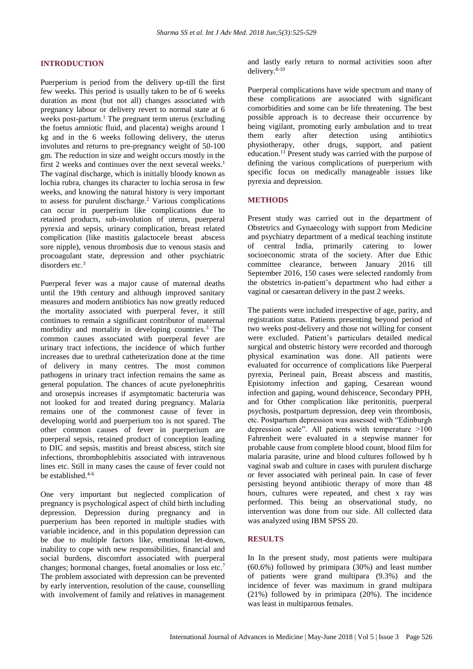#### **INTRODUCTION**

Puerperium is period from the delivery up-till the first few weeks. This period is usually taken to be of 6 weeks duration as most (but not all) changes associated with pregnancy labour or delivery revert to normal state at 6 weeks post-partum.<sup>1</sup> The pregnant term uterus (excluding the foetus amniotic fluid, and placenta) weighs around 1 kg and in the 6 weeks following delivery, the uterus involutes and returns to pre-pregnancy weight of 50-100 gm. The reduction in size and weight occurs mostly in the first 2 weeks and continues over the next several weeks.<sup>1</sup> The vaginal discharge, which is initially bloody known as lochia rubra, changes its character to lochia serosa in few weeks, and knowing the natural history is very important to assess for purulent discharge.<sup>2</sup> Various complications can occur in puerperium like complications due to retained products, sub-involution of uterus, puerperal pyrexia and sepsis, urinary complication, breast related complication (like mastitis galactocele breast abscess sore nipple), venous thrombosis due to venous stasis and procoagulant state, depression and other psychiatric disorders etc.<sup>3</sup>

Puerperal fever was a major cause of maternal deaths until the 19th century and although improved sanitary measures and modern antibiotics has now greatly reduced the mortality associated with puerperal fever, it still continues to remain a significant contributor of maternal morbidity and mortality in developing countries.<sup>3</sup> The common causes associated with puerperal fever are urinary tract infections, the incidence of which further increases due to urethral catheterization done at the time of delivery in many centres. The most common pathogens in urinary tract infection remains the same as general population. The chances of acute pyelonephritis and urosepsis increases if asymptomatic bacteruria was not looked for and treated during pregnancy. Malaria remains one of the commonest cause of fever in developing world and puerperium too is not spared. The other common causes of fever in puerperium are puerperal sepsis, retained product of conception leading to DIC and sepsis, mastitis and breast abscess, stitch site infections, thrombophlebitis associated with intravenous lines etc. Still in many cases the cause of fever could not be established  $4-6$ 

One very important but neglected complication of pregnancy is psychological aspect of child birth including depression. Depression during pregnancy and in puerperium has been reported in multiple studies with variable incidence, and in this population depression can be due to multiple factors like, emotional let-down, inability to cope with new responsibilities, financial and social burdens, discomfort associated with puerperal changes; hormonal changes, foetal anomalies or loss etc.<sup>7</sup> The problem associated with depression can be prevented by early intervention, resolution of the cause, counselling with involvement of family and relatives in management and lastly early return to normal activities soon after delivery.<sup>8-10</sup>

Puerperal complications have wide spectrum and many of these complications are associated with significant comorbidities and some can be life threatening. The best possible approach is to decrease their occurrence by being vigilant, promoting early ambulation and to treat them early after detection using antibiotics physiotherapy, other drugs, support, and patient education.<sup>11</sup> Present study was carried with the purpose of defining the various complications of puerperium with specific focus on medically manageable issues like pyrexia and depression.

#### **METHODS**

Present study was carried out in the department of Obstetrics and Gynaecology with support from Medicine and psychiatry department of a medical teaching institute of central India, primarily catering to lower socioeconomic strata of the society. After due Ethic committee clearance, between January 2016 till September 2016, 150 cases were selected randomly from the obstetrics in-patient's department who had either a vaginal or caesarean delivery in the past 2 weeks.

The patients were included irrespective of age, parity, and registration status. Patients presenting beyond period of two weeks post-delivery and those not willing for consent were excluded. Patient's particulars detailed medical surgical and obstetric history were recorded and thorough physical examination was done. All patients were evaluated for occurrence of complications like Puerperal pyrexia, Perineal pain, Breast abscess and mastitis, Episiotomy infection and gaping, Cesarean wound infection and gaping, wound dehiscence, Secondary PPH, and for Other complication like peritonitis, puerperal psychosis, postpartum depression, deep vein thrombosis, etc. Postpartum depression was assessed with "Edinburgh depression scale". All patients with temperature >100 Fahrenheit were evaluated in a stepwise manner for probable cause from complete blood count, blood film for malaria parasite, urine and blood cultures followed by h vaginal swab and culture in cases with purulent discharge or fever associated with perineal pain. In case of fever persisting beyond antibiotic therapy of more than 48 hours, cultures were repeated, and chest x ray was performed. This being an observational study, no intervention was done from our side. All collected data was analyzed using IBM SPSS 20.

#### **RESULTS**

In In the present study, most patients were multipara (60.6%) followed by primipara (30%) and least number of patients were grand multipara (9.3%) and the incidence of fever was maximum in grand multipara (21%) followed by in primipara (20%). The incidence was least in multiparous females.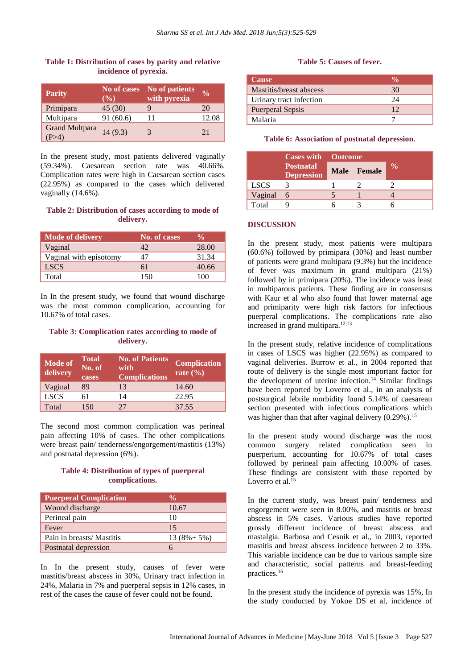# **Table 1: Distribution of cases by parity and relative incidence of pyrexia.**

| <b>Parity</b>         | No of cases<br>$(\%)$ | No of patients<br>with pyrexia | $\frac{0}{0}$ |
|-----------------------|-----------------------|--------------------------------|---------------|
| Primipara             | 45(30)                | Q                              | 20            |
| Multipara             | 91(60.6)              |                                | 12.08         |
| <b>Grand Multpara</b> | 14(9.3)               | 3                              | 2.1           |

In the present study, most patients delivered vaginally (59.34%). Caesarean section rate was 40.66%. Complication rates were high in Caesarean section cases (22.95%) as compared to the cases which delivered vaginally (14.6%).

# **Table 2: Distribution of cases according to mode of delivery.**

| <b>Mode of delivery</b> | No. of cases | $\frac{0}{\sqrt{2}}$ |
|-------------------------|--------------|----------------------|
| Vaginal                 | 42           | 28.00                |
| Vaginal with episotomy  | 47           | 31.34                |
| <b>LSCS</b>             | 61           | 40.66                |
| Total                   | 150          | 100                  |

In In the present study, we found that wound discharge was the most common complication, accounting for 10.67% of total cases.

#### **Table 3: Complication rates according to mode of delivery.**

| Mode of<br>delivery | <b>Total</b><br>No. of<br>cases | <b>No. of Patients</b><br>with<br><b>Complications</b> | <b>Complication</b><br>rate $(\% )$ |
|---------------------|---------------------------------|--------------------------------------------------------|-------------------------------------|
| Vaginal             | 89                              | 13                                                     | 14.60                               |
| <b>LSCS</b>         | 61                              | 14                                                     | 22.95                               |
| Total               | 150                             | 27                                                     | 37.55                               |

The second most common complication was perineal pain affecting 10% of cases. The other complications were breast pain/ tenderness/engorgement/mastitis (13%) and postnatal depression (6%).

# **Table 4: Distribution of types of puerperal complications.**

| <b>Puerperal Complication</b> |                 |
|-------------------------------|-----------------|
| Wound discharge               | 10.67           |
| Perineal pain                 | 10              |
| Fever                         | 15              |
| Pain in breasts/ Mastitis     | $13(8\% + 5\%)$ |
| Postnatal depression          |                 |

In In the present study, causes of fever were mastitis/breast abscess in 30%, Urinary tract infection in 24%, Malaria in 7% and puerperal sepsis in 12% cases, in rest of the cases the cause of fever could not be found.

#### **Table 5: Causes of fever.**

| <b>Cause</b>            |    |
|-------------------------|----|
| Mastitis/breast abscess | 30 |
| Urinary tract infection | 24 |
| <b>Puerperal Sepsis</b> | 12 |
| Malaria                 |    |

**Table 6: Association of postnatal depression.**

|             | <b>Cases with</b> Outcome             |  |             |               |
|-------------|---------------------------------------|--|-------------|---------------|
|             | <b>Postnatal</b><br><b>Depression</b> |  | Male Female | $\frac{0}{0}$ |
| <b>LSCS</b> |                                       |  |             |               |
| Vaginal     | 6                                     |  |             |               |
| Total       |                                       |  |             |               |

#### **DISCUSSION**

In the present study, most patients were multipara (60.6%) followed by primipara (30%) and least number of patients were grand multipara (9.3%) but the incidence of fever was maximum in grand multipara (21%) followed by in primipara (20%). The incidence was least in multiparous patients. These finding are in consensus with Kaur et al who also found that lower maternal age and primiparity were high risk factors for infectious puerperal complications. The complications rate also increased in grand multipara.12,13

In the present study, relative incidence of complications in cases of LSCS was higher (22.95%) as compared to vaginal deliveries. Burrow et al., in 2004 reported that route of delivery is the single most important factor for the development of uterine infection.<sup>14</sup> Similar findings have been reported by Loverro et al., in an analysis of postsurgical febrile morbidity found 5.14% of caesarean section presented with infectious complications which was higher than that after vaginal delivery  $(0.29\%)$ .<sup>15</sup>

In the present study wound discharge was the most common surgery related complication seen in puerperium, accounting for 10.67% of total cases followed by perineal pain affecting 10.00% of cases. These findings are consistent with those reported by Loverro et al.<sup>15</sup>

In the current study, was breast pain/ tenderness and engorgement were seen in 8.00%, and mastitis or breast abscess in 5% cases. Various studies have reported grossly different incidence of breast abscess and mastalgia. Barbosa and Cesnik et al., in 2003, reported mastitis and breast abscess incidence between 2 to 33%. This variable incidence can be due to various sample size and characteristic, social patterns and breast-feeding practices.<sup>16</sup>

In the present study the incidence of pyrexia was 15%, In the study conducted by Yokoe DS et al, incidence of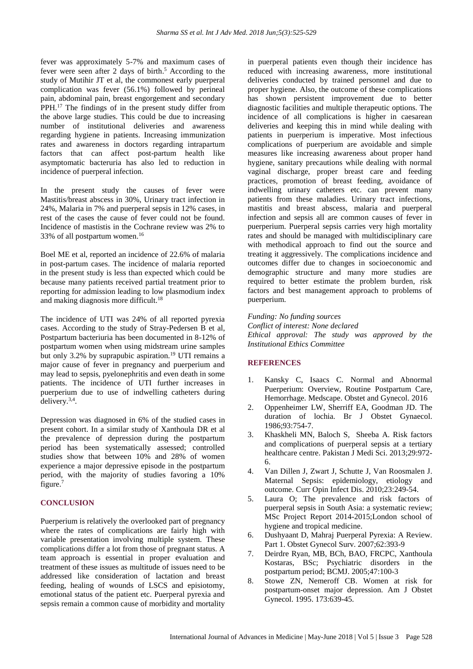fever was approximately 5-7% and maximum cases of fever were seen after 2 days of birth. <sup>5</sup> According to the study of Mutihir JT et al, the commonest early puerperal complication was fever (56.1%) followed by perineal pain, abdominal pain, breast engorgement and secondary PPH.<sup>17</sup> The findings of in the present study differ from the above large studies. This could be due to increasing number of institutional deliveries and awareness regarding hygiene in patients. Increasing immunization rates and awareness in doctors regarding intrapartum factors that can affect post-partum health like asymptomatic bacteruria has also led to reduction in incidence of puerperal infection.

In the present study the causes of fever were Mastitis/breast abscess in 30%, Urinary tract infection in 24%, Malaria in 7% and puerperal sepsis in 12% cases, in rest of the cases the cause of fever could not be found. Incidence of mastistis in the Cochrane review was 2% to 33% of all postpartum women.<sup>16</sup>

Boel ME et al, reported an incidence of 22.6% of malaria in post-partum cases. The incidence of malaria reported in the present study is less than expected which could be because many patients received partial treatment prior to reporting for admission leading to low plasmodium index and making diagnosis more difficult.<sup>18</sup>

The incidence of UTI was 24% of all reported pyrexia cases. According to the study of Stray-Pedersen B et al, Postpartum bacteriuria has been documented in 8-12% of postpartum women when using midstream urine samples but only 3.2% by suprapubic aspiration.<sup>19</sup> UTI remains a major cause of fever in pregnancy and puerperium and may lead to sepsis, pyelonephritis and even death in some patients. The incidence of UTI further increases in puerperium due to use of indwelling catheters during delivery.3,4 .

Depression was diagnosed in 6% of the studied cases in present cohort. In a similar study of Xanthoula DR et al the prevalence of depression during the postpartum period has been systematically assessed; controlled studies show that between 10% and 28% of women experience a major depressive episode in the postpartum period, with the majority of studies favoring a 10% figure.<sup>7</sup>

# **CONCLUSION**

Puerperium is relatively the overlooked part of pregnancy where the rates of complications are fairly high with variable presentation involving multiple system. These complications differ a lot from those of pregnant status. A team approach is essential in proper evaluation and treatment of these issues as multitude of issues need to be addressed like consideration of lactation and breast feeding, healing of wounds of LSCS and episiotomy, emotional status of the patient etc. Puerperal pyrexia and sepsis remain a common cause of morbidity and mortality in puerperal patients even though their incidence has reduced with increasing awareness, more institutional deliveries conducted by trained personnel and due to proper hygiene. Also, the outcome of these complications has shown persistent improvement due to better diagnostic facilities and multiple therapeutic options. The incidence of all complications is higher in caesarean deliveries and keeping this in mind while dealing with patients in puerperium is imperative. Most infectious complications of puerperium are avoidable and simple measures like increasing awareness about proper hand hygiene, sanitary precautions while dealing with normal vaginal discharge, proper breast care and feeding practices, promotion of breast feeding, avoidance of indwelling urinary catheters etc. can prevent many patients from these maladies. Urinary tract infections, mastitis and breast abscess, malaria and puerperal infection and sepsis all are common causes of fever in puerperium. Puerperal sepsis carries very high mortality rates and should be managed with multidisciplinary care with methodical approach to find out the source and treating it aggressively. The complications incidence and outcomes differ due to changes in socioeconomic and demographic structure and many more studies are required to better estimate the problem burden, risk factors and best management approach to problems of puerperium.

# *Funding: No funding sources Conflict of interest: None declared*

*Ethical approval: The study was approved by the Institutional Ethics Committee*

#### **REFERENCES**

- 1. Kansky C, Isaacs C. Normal and Abnormal Puerperium: Overview, Routine Postpartum Care, Hemorrhage. Medscape. Obstet and Gynecol. 2016
- 2. Oppenheimer LW, Sherriff EA, Goodman JD. The duration of lochia. Br J Obstet Gynaecol. 1986;93:754-7.
- 3. Khaskheli MN, Baloch S, Sheeba A. Risk factors and complications of puerperal sepsis at a tertiary healthcare centre. Pakistan J Medi Sci. 2013;29:972- 6.
- 4. Van Dillen J, Zwart J, Schutte J, Van Roosmalen J. Maternal Sepsis: epidemiology, etiology and outcome. Curr Opin Infect Dis. 2010;23:249-54.
- 5. Laura O; The prevalence and risk factors of puerperal sepsis in South Asia: a systematic review; MSc Project Report 2014-2015;London school of hygiene and tropical medicine.
- 6. Dushyaant D, Mahraj Puerperal Pyrexia: A Review. Part 1. Obstet Gynecol Surv. 2007;62:393-9
- 7. Deirdre Ryan, MB, BCh, BAO, FRCPC, Xanthoula Kostaras, BSc; Psychiatric disorders in the postpartum period; BCMJ. 2005;47:100-3
- 8. Stowe ZN, Nemeroff CB. Women at risk for postpartum-onset major depression. Am J Obstet Gynecol. 1995. 173:639-45.